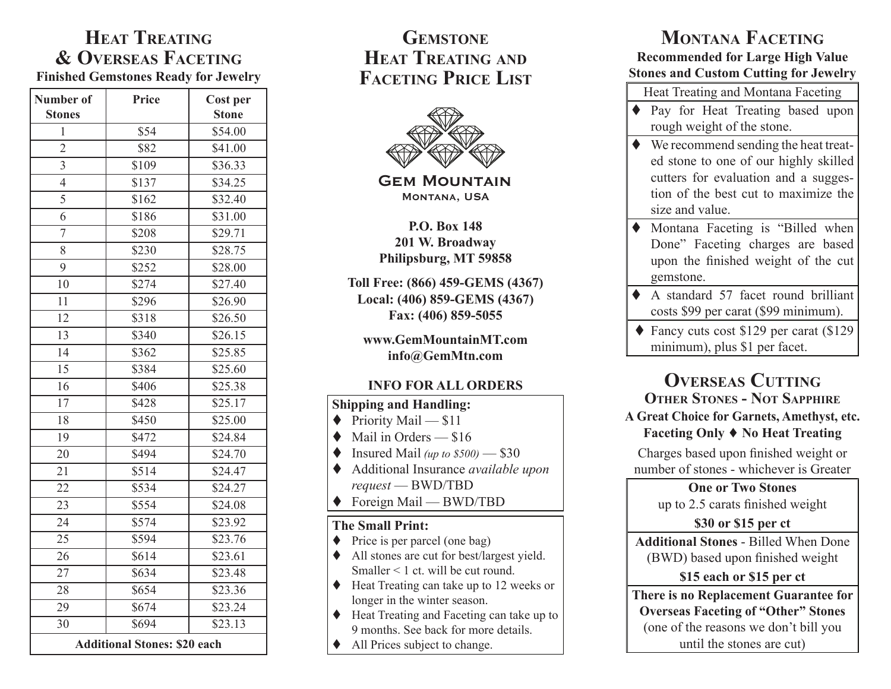## **Heat Treating & Overseas Faceting Finished Gemstones Ready for Jewelry**

| Number of<br><b>Stones</b>          | Price | <b>Cost per</b><br><b>Stone</b> |  |
|-------------------------------------|-------|---------------------------------|--|
| $\mathbf{1}$                        | \$54  | \$54.00                         |  |
| $\overline{2}$                      | \$82  | \$41.00                         |  |
| $\overline{3}$                      | \$109 | \$36.33                         |  |
| $\overline{4}$                      | \$137 | \$34.25                         |  |
| 5                                   | \$162 | \$32.40                         |  |
| 6                                   | \$186 | \$31.00                         |  |
| $\overline{7}$                      | \$208 | \$29.71                         |  |
| 8                                   | \$230 | \$28.75                         |  |
| 9                                   | \$252 | \$28.00                         |  |
| 10                                  | \$274 | \$27.40                         |  |
| 11                                  | \$296 | \$26.90                         |  |
| 12                                  | \$318 | \$26.50                         |  |
| 13                                  | \$340 | \$26.15                         |  |
| 14                                  | \$362 | \$25.85                         |  |
| 15                                  | \$384 | \$25.60                         |  |
| 16                                  | \$406 | \$25.38                         |  |
| $\overline{17}$                     | \$428 | \$25.17                         |  |
| 18                                  | \$450 | \$25.00                         |  |
| 19                                  | \$472 | \$24.84                         |  |
| 20                                  | \$494 | \$24.70                         |  |
| 21                                  | \$514 | \$24.47                         |  |
| 22                                  | \$534 | \$24.27                         |  |
| 23                                  | \$554 | \$24.08                         |  |
| 24                                  | \$574 | \$23.92                         |  |
| 25                                  | \$594 | \$23.76                         |  |
| 26                                  | \$614 | \$23.61                         |  |
| 27                                  | \$634 | \$23.48                         |  |
| 28                                  | \$654 | \$23.36                         |  |
| 29                                  | \$674 | $\overline{$}23.24$             |  |
| 30                                  | \$694 | \$23.13                         |  |
| <b>Additional Stones: \$20 each</b> |       |                                 |  |

# **Gemstone Heat Treating and Faceting Price List**



**Gem Mountain Montana, USA** 

**P.O. Box 148 201 W. Broadway Philipsburg, MT 59858**

**Toll Free: (866) 459-GEMS (4367) Local: (406) 859-GEMS (4367) Fax: (406) 859-5055**

**www.GemMountainMT.com info@GemMtn.com**

#### **INFO FOR ALL ORDERS**

#### **Shipping and Handling:**

- $\blacklozenge$  Priority Mail \$11
- $\blacklozenge$  Mail in Orders \$16
- $\blacklozenge$  Insured Mail (up to  $$500$ ) \$30
- Additional Insurance *available upon request* — BWD/TBD
- ◆ Foreign Mail BWD/TBD

#### **The Small Print:**

- $\blacklozenge$  Price is per parcel (one bag)
- All stones are cut for best/largest yield. Smaller < 1 ct. will be cut round.
- ◆ Heat Treating can take up to 12 weeks or longer in the winter season.
- ◆ Heat Treating and Faceting can take up to 9 months. See back for more details.
- ◆ All Prices subject to change.

# **Montana Faceting**

#### **Recommended for Large High Value Stones and Custom Cutting for Jewelry**

- Heat Treating and Montana Faceting
- Pay for Heat Treating based upon rough weight of the stone.
- $\blacklozenge$  We recommend sending the heat treated stone to one of our highly skilled cutters for evaluation and a suggestion of the best cut to maximize the size and value.
- Montana Faceting is "Billed when Done" Faceting charges are based upon the finished weight of the cut gemstone.
- A standard 57 facet round brilliant costs \$99 per carat (\$99 minimum).
- ◆ Fancy cuts cost \$129 per carat (\$129) minimum), plus \$1 per facet.

## **OVERSEAS** CUTTING **Other Stones - Not Sapphire A Great Choice for Garnets, Amethyst, etc. Faceting Only No Heat Treating**

Charges based upon finished weight or number of stones - whichever is Greater

> **One or Two Stones**  up to 2.5 carats finished weight

## **\$30 or \$15 per ct**

**Additional Stones** - Billed When Done (BWD) based upon finished weight

## **\$15 each or \$15 per ct**

**There is no Replacement Guarantee for Overseas Faceting of "Other" Stones** (one of the reasons we don't bill you until the stones are cut)